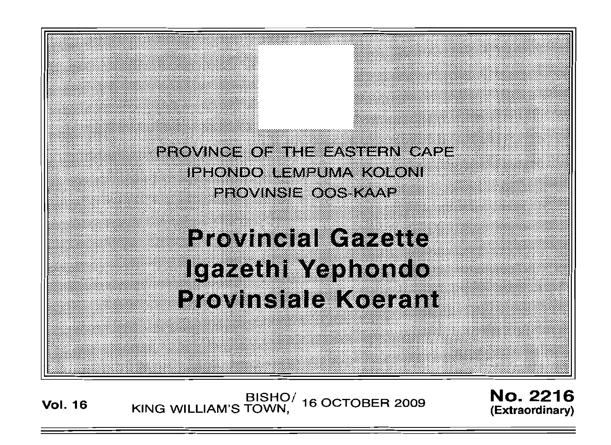

Vol. <sup>16</sup> BISHO/ KING WILLIAM'S TOWN, 16 OCTOBER 2009

No. 2216 **(Extraordinary)**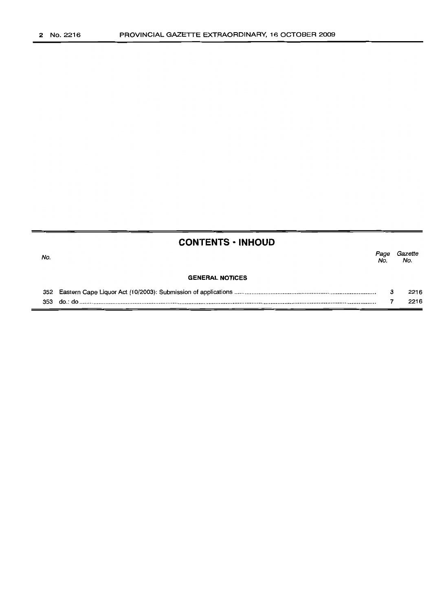# **CONTENTS· INHOUD**

| No. |                        | Page<br>No. | Gazette<br>No. |
|-----|------------------------|-------------|----------------|
|     | <b>GENERAL NOTICES</b> |             |                |
|     |                        | 3           | 2216           |
| 353 |                        |             | 2216           |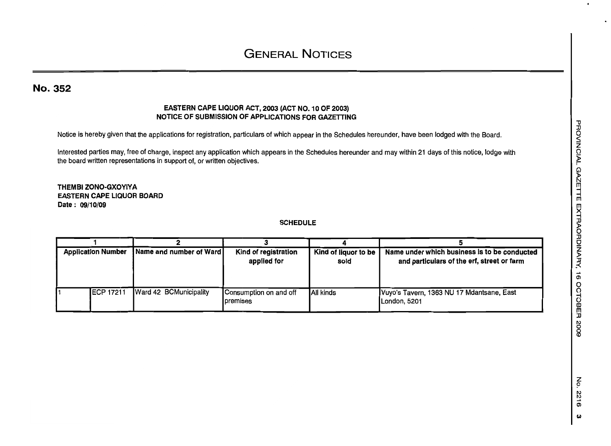## No. 352

## EASTERN CAPE LIQUOR ACT, 2003 (ACT NO. 10 OF 2003) NOTICE OF SUBMISSION OF APPLICATIONS FOR GAZETTING

Notice is hereby given that the applications for registration, particulars of which appear in the Schedules hereunder, have been lodged with the Board.

Interested parties may, free of charge, inspect any application which appears in the Schedules hereunder and may within 21 days of this notice, lodge with the board written representations in support of, or written objectives.

THEMBI ZONO·GXOYIYAEASTERN CAPE LIQUOR BOARDDate: 09/10/09

#### SCHEDULE

| <b>Application Number</b> |                   | Name and number of Ward | Kind of registration<br>applied for | Kind of liquor to be<br>sold | Name under which business is to be conducted<br>and particulars of the erf, street or farm |
|---------------------------|-------------------|-------------------------|-------------------------------------|------------------------------|--------------------------------------------------------------------------------------------|
|                           | <b>IECP 17211</b> | Ward 42 BCMunicipality  | Consumption on and off<br>premises  | <b>All kinds</b>             | Vuyo's Tavern, 1363 NU 17 Mdantsane, East<br>London, 5201                                  |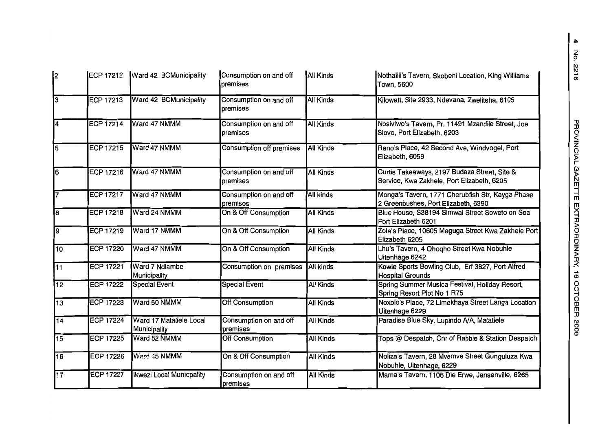| 2               |                  | ECP 17212 Ward 42 BCMunicipality        | Consumption on and off<br>bremises | All Kinds        | Nothalili's Tavern, Skobeni Location, King Williams<br>Town, 5600                          |
|-----------------|------------------|-----------------------------------------|------------------------------------|------------------|--------------------------------------------------------------------------------------------|
| 3               | <b>ECP 17213</b> | Ward 42 BCMunicipality                  | Consumption on and off<br>premises | <b>All Kinds</b> | Kilowatt, Site 2933, Ndevana, Zwelitsha, 6105                                              |
| 4               | <b>ECP 17214</b> | Ward 47 NMMM                            | Consumption on and off<br>premises | <b>All Kinds</b> | Nosiviwo's Tavern, Pr. 11491 Mzandile Street, Joe<br>Slovo, Port Elizabeth, 6203           |
| 5               | <b>ECP 17215</b> | Ward 47 NMMM                            | Consumption off premises           | <b>All Kinds</b> | Rano's Place, 42 Second Ave, Windvogel, Port<br>Elizabeth, 6059                            |
| 6               | <b>ECP 17216</b> | Ward 47 NMMM                            | Consumption on and off<br>premises | <b>All Kinds</b> | Curtis Takeaways, 2197 Budaza Street, Site &<br>Service, Kwa Zakhele, Port Elizabeth, 6205 |
| 17              | ECP 17217        | Ward 47 NMMM                            | Consumption on and off<br>premises | All kinds        | Monga's Tavern, 1771 Cherubfish Str, Kayga Phase<br>2 Greenbushes, Port Elizabeth, 6390    |
| 18              | ECP 17218        | Ward 24 NMMM                            | On & Off Consumption               | <b>All Kinds</b> | Blue House, S38194 Simwai Street Soweto on Sea<br>Port Elizabeth 6201                      |
| 9               | <b>ECP 17219</b> | Ward 17 NMMM                            | On & Off Consumption               | <b>All Kinds</b> | Zola's Place, 10605 Maguga Street Kwa Zakhele Port<br>Elizabeth 6205                       |
| 10              | <b>ECP 17220</b> | Ward 47 NMMM                            | On & Off Consumption               | <b>All Kinds</b> | Lhu's Tavern, 4 Qhoqho Street Kwa Nobuhle<br>Uitenhage 6242                                |
| $\overline{11}$ | <b>ECP 17221</b> | Ward 7 Ndlambe<br>Municipality          | Consumption on premises            | All kinds        | Kowie Sports Bowling Club, Erf 3827, Port Alfred<br><b>Hospital Grounds</b>                |
| $\overline{12}$ | <b>ECP 17222</b> | <b>Special Event</b>                    | <b>Special Event</b>               | <b>All Kinds</b> | Spring Summer Musica Festival, Holiday Resort,<br>Spring Resort Plot No 1 R75              |
| 13              | <b>ECP 17223</b> | Ward 50 NMMM                            | <b>Off Consumption</b>             | All Kinds        | Noxolo's Place, 72 Limekhaya Street Langa Location<br>Uitenhage 6229                       |
| $\overline{14}$ | <b>ECP 17224</b> | Ward 17 Matatiele Local<br>Municipality | Consumption on and off<br>premises | <b>All Kinds</b> | Paradise Blue Sky, Lupindo A/A, Matatiele                                                  |
| 15              | <b>ECP 17225</b> | Ward 52 NMMM                            | Off Consumption                    | <b>All Kinds</b> | Tops @ Despatch, Cnr of Rabbie & Station Despatch                                          |
| 16              | <b>ECP 17226</b> | Ward 45 NMMM                            | On & Off Consumption               | <b>All Kinds</b> | Noliza's Tavern, 28 Mvemve Street Gunguluza Kwa<br>Nobuhle, Uitenhage, 6229                |
| $\overline{17}$ | <b>ECP 17227</b> | Ikwezi Local Municpality                | Consumption on and off<br>premises | <b>All Kinds</b> | Mama's Tavern, 1106 Die Erwe, Jansenville, 6265                                            |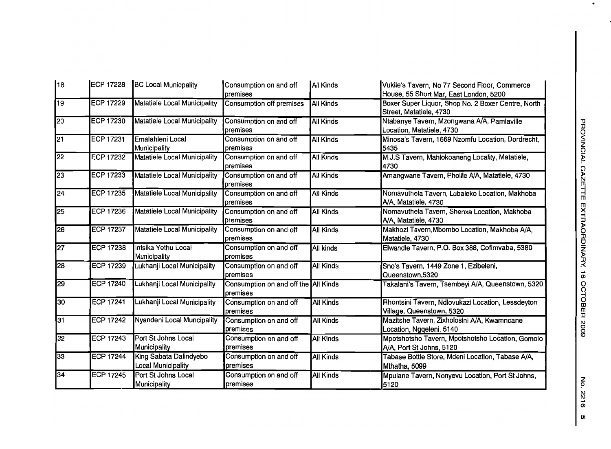| 18              | <b>ECP 17228</b> | <b>BC Local Municpality</b>                         | Consumption on and off<br>premises               | All Kinds        | Vukile's Tavern, No 77 Second Floor, Commerce<br>House, 55 Short Mar, East London, 5200 |  |
|-----------------|------------------|-----------------------------------------------------|--------------------------------------------------|------------------|-----------------------------------------------------------------------------------------|--|
| 19              | <b>ECP 17229</b> | <b>Matatiele Local Municipality</b>                 | Consumption off premises                         | <b>All Kinds</b> | Boxer Super Liquor, Shop No. 2 Boxer Centre, North<br>Street, Matatiele, 4730           |  |
| 20              | <b>ECP 17230</b> | <b>Matatiele Local Municipality</b>                 | Consumption on and off<br>premises               | All Kinds        | Ntabanye Tavern, Mzongwana A/A, Pamlaville<br>Location, Matatiele, 4730                 |  |
| 21              | <b>ECP 17231</b> | Emalahleni Local<br>Municipality                    | Consumption on and off<br>premises               | <b>All Kinds</b> | Minosa's Tavern, 1669 Nzomfu Location, Dordrecht,<br>5435                               |  |
| 22              | <b>ECP 17232</b> | Matatiele Local Municipality                        | Consumption on and off<br>premises               | <b>All Kinds</b> | M.J.S Tavern, Mahlokoaneng Locality, Matatiele,<br>4730                                 |  |
| 23              | <b>ECP 17233</b> | Matatiele Local Municipality                        | Consumption on and off<br>premises               | <b>All Kinds</b> | Amangwane Tavern, Pholile A/A, Matatiele, 4730                                          |  |
| 24              | <b>ECP 17235</b> | Matatiele Local Municipality                        | Consumption on and off<br>premises               | All Kinds        | Nomavuthela Tavern, Lubaleko Location, Makhoba<br>A/A, Matatiele, 4730                  |  |
| 25              | <b>ECP 17236</b> | Matatiele Local Municipality                        | Consumption on and off<br>premises               | <b>All Kinds</b> | Nomavuthela Tavern, Shenxa Location, Makhoba<br>A/A, Matatiele, 4730                    |  |
| $\overline{26}$ | <b>ECP 17237</b> | Matatiele Local Municipality                        | Consumption on and off<br>premises               | All Kinds        | Makhozi Tavern, Mbombo Location, Makhoba A/A,<br>Matatiele, 4730                        |  |
| 27              | <b>ECP 17238</b> | Intsika Yethu Local<br>Municipality                 | Consumption on and off<br>premises               | <b>All kinds</b> | Elwandle Tavern, P.O. Box 388, Cofimvaba, 5380                                          |  |
| 28              | <b>ECP 17239</b> | Lukhanji Local Municipality                         | Consumption on and off<br>premises               | All Kinds        | Sno's Tavern, 1449 Zone 1, Ezibeleni,<br>Queenstown,5320                                |  |
| 29              | <b>ECP 17240</b> | Lukhanji Local Municipality                         | Consumption on and off the Ail Kinds<br>premises |                  | Takalani's Tavern, Tsembeyi A/A, Queenstown, 5320                                       |  |
| 30              | <b>ECP 17241</b> | Lukhanji Local Municipality                         | Consumption on and off<br>premises               | <b>All Kinds</b> | Rhontsini Tavern, Ndlovukazi Location, Lessdeyton<br>Village, Queenstown, 5320          |  |
| 31              | <b>ECP 17242</b> | <b>Nyandeni Local Muncipality</b>                   | Consumption on and off<br>premises               | All Kinds        | Mazitshe Tavern, Zixholosini A/A, Kwamncane<br>Location, Ngqeleni, 5140                 |  |
| 32              | ECP 17243        | Port St Johns Local<br>Municipality                 | Consumption on and off<br>premises               | <b>All Kinds</b> | Mpotshotsho Tavern, Mpotshotsho Location, Gomolo<br>A/A, Port St Johns, 5120            |  |
| 33              | <b>ECP 17244</b> | King Sabata Dalindyebo<br><b>Local Municipality</b> | Consumption on and off<br>premises               | <b>All Kinds</b> | Tabase Bottle Store, Mdeni Location, Tabase A/A,<br>Mthatha, 5099                       |  |
| 34              | <b>ECP 17245</b> | Port St Johns Local<br>Municipality                 | Consumption on and off<br>premises               | All Kinds        | Mpulane Tavern, Nonyevu Location, Port St Johns,<br>5120                                |  |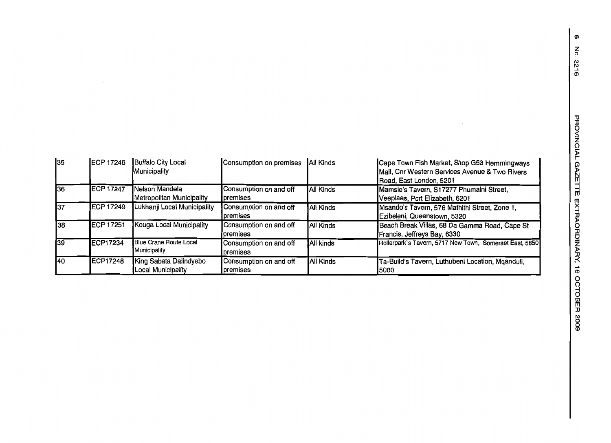$\mathcal{L}_{\mathcal{A}}$ 

| 35  | <b>IECP 17246</b> | <b>Buffalo City Local</b><br>Municipality    | Consumption on premises                     | All Kinds        | Cape Town Fish Market, Shop G53 Hemmingways<br>Mall, Cnr Western Services Avenue & Two Rivers<br>Road, East London, 5201 |
|-----|-------------------|----------------------------------------------|---------------------------------------------|------------------|--------------------------------------------------------------------------------------------------------------------------|
| 136 | <b>ECP 17247</b>  | Nelson Mandela<br>Metropolitan Municipality  | Consumption on and off<br><b>I</b> premises | All Kinds        | Mamsie's Tavern, S17277 Phumalni Street,<br>Veeplaas, Port Elizabeth, 6201                                               |
| 37  | ECP 17249         | Lukhanji Local Municipality                  | Consumption on and off<br>premises          | <b>All Kinds</b> | Msando's Tavern, 576 Mathithi Street, Zone 1,<br>Ezibeleni, Queenstown, 5320                                             |
| 38  | ECP 17251         | Kouga Local Municipality                     | Consumption on and off<br>premises          | <b>All Kinds</b> | Beach Break Villas, 68 Da Gamma Road, Cape St<br>Francis, Jeffreys Bay, 6330                                             |
| 39  | ECP17234          | Blue Crane Route Local<br>Municipality       | Consumption on and off<br><b>I</b> premises | All kinds        | Rollerpark's Tavern, 5717 New Town, Somerset East, 5850                                                                  |
| 140 | <b>ECP17248</b>   | King Sabata Dalindyebo<br>Local Municipality | Consumption on and off<br>premises          | All Kinds        | Ta-Build's Tavern, Luthubeni Location, Mqanduli,<br>15080                                                                |

 $\mathcal{A}^{\mathcal{A}}$